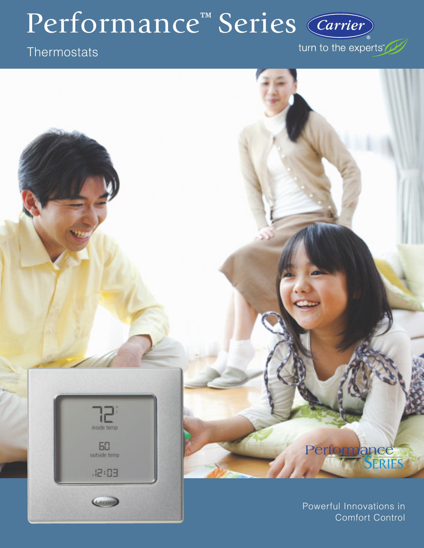# Performance<sup>™</sup> Series

# **Thermostats**

inside temp

 $50<sub>0</sub>$ 

 $, 12: 03$ 

Carnet

turn to the experts"

# Performance

Powerful Innovations in Comfort Control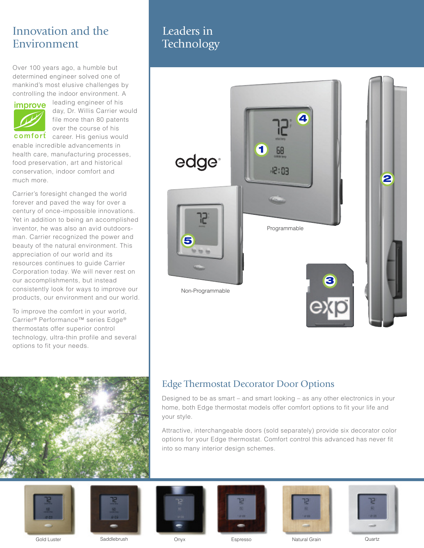# Innovation and the Environment

Over 100 years ago, a humble but determined engineer solved one of mankind's most elusive challenges by controlling the indoor environment. A



leading engineer of his day, Dr. Willis Carrier would file more than 80 patents over the course of his

comfort career. His genius would enable incredible advancements in health care, manufacturing processes, food preservation, art and historical conservation, indoor comfort and much more.

Carrier's foresight changed the world forever and paved the way for over a century of once-impossible innovations. Yet in addition to being an accomplished inventor, he was also an avid outdoorsman. Carrier recognized the power and beauty of the natural environment. This appreciation of our world and its resources continues to guide Carrier Corporation today. We will never rest on our accomplishments, but instead consistently look for ways to improve our products, our environment and our world.

To improve the comfort in your world, Carrier® Performance™ series Edge® thermostats offer superior control technology, ultra-thin profile and several options to fit your needs.



# Leaders in **Technology**



## Edge Thermostat Decorator Door Options

Designed to be as smart – and smart looking – as any other electronics in your home, both Edge thermostat models offer comfort options to fit your life and your style.

Attractive, interchangeable doors (sold separately) provide six decorator color options for your Edge thermostat. Comfort control this advanced has never fit into so many interior design schemes.









Gold Luster Saddlebrush Onyx Espresso Natural Grain Quartz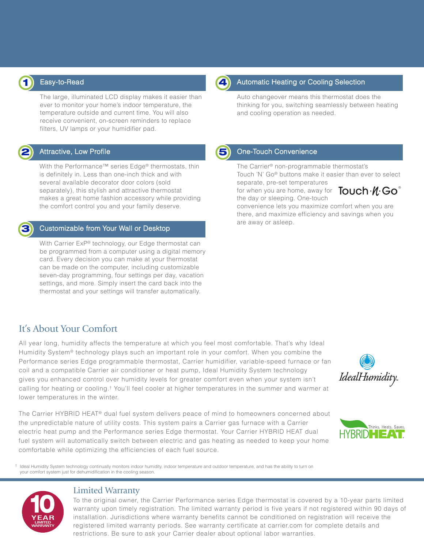

#### Easy-to-Read

The large, illuminated LCD display makes it easier than ever to monitor your home's indoor temperature, the temperature outside and current time. You will also receive convenient, on-screen reminders to replace filters, UV lamps or your humidifier pad.

### Attractive, Low Profile **2 5**

With the Performance™ series Edge® thermostats, thin is definitely in. Less than one-inch thick and with several available decorator door colors (sold separately), this stylish and attractive thermostat makes a great home fashion accessory while providing the comfort control you and your family deserve.



#### Customizable from Your Wall or Desktop

With Carrier ExP® technology, our Edge thermostat can be programmed from a computer using a digital memory card. Every decision you can make at your thermostat can be made on the computer, including customizable seven-day programming, four settings per day, vacation settings, and more. Simply insert the card back into the thermostat and your settings will transfer automatically.

# It's About Your Comfort

All year long, humidity affects the temperature at which you feel most comfortable. That's why Ideal Humidity System® technology plays such an important role in your comfort. When you combine the Performance series Edge programmable thermostat, Carrier humidifier, variable-speed furnace or fan coil and a compatible Carrier air conditioner or heat pump, Ideal Humidity System technology gives you enhanced control over humidity levels for greater comfort even when your system isn't calling for heating or cooling.† You'll feel cooler at higher temperatures in the summer and warmer at lower temperatures in the winter.

The Carrier HYBRID HEAT® dual fuel system delivers peace of mind to homeowners concerned about the unpredictable nature of utility costs. This system pairs a Carrier gas furnace with a Carrier electric heat pump and the Performance series Edge thermostat. Your Carrier HYBRID HEAT dual fuel system will automatically switch between electric and gas heating as needed to keep your home comfortable while optimizing the efficiencies of each fuel source.

† Ideal Humidity System technology continually monitors indoor humidity, indoor temperature and outdoor temperature, and has the ability to turn on your comfort system just for dehumidification in the cooling season.



#### Limited Warranty

To the original owner, the Carrier Performance series Edge thermostat is covered by a 10-year parts limited warranty upon timely registration. The limited warranty period is five years if not registered within 90 days of installation. Jurisdictions where warranty benefits cannot be conditioned on registration will receive the registered limited warranty periods. See warranty certificate at carrier.com for complete details and restrictions. Be sure to ask your Carrier dealer about optional labor warranties.



#### Automatic Heating or Cooling Selection

Auto changeover means this thermostat does the thinking for you, switching seamlessly between heating and cooling operation as needed.

#### One-Touch Convenience

The Carrier® non-programmable thermostat's Touch 'N' Go® buttons make it easier than ever to select

separate, pre-set temperatures for when you are home, away for  $\overline{\mathsf{T}}$ OUCh $\cdot \mathscr{U} \cdot$ GO $^\circ$ the day or sleeping. One-touch



convenience lets you maximize comfort when you are there, and maximize efficiency and savings when you are away or asleep.